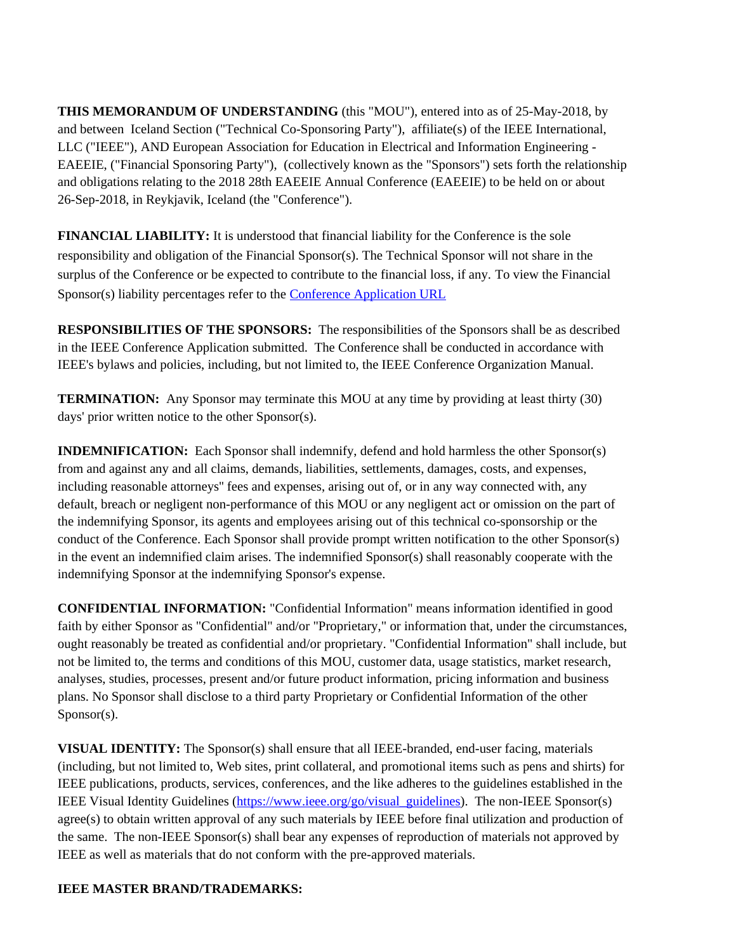**THIS MEMORANDUM OF UNDERSTANDING** (this "MOU"), entered into as of 25-May-2018, by and between Iceland Section ("Technical Co-Sponsoring Party"), affiliate(s) of the IEEE International, LLC ("IEEE"), AND European Association for Education in Electrical and Information Engineering - EAEEIE, ("Financial Sponsoring Party"), (collectively known as the "Sponsors") sets forth the relationship and obligations relating to the 2018 28th EAEEIE Annual Conference (EAEEIE) to be held on or about 26-Sep-2018, in Reykjavik, Iceland (the "Conference").

**FINANCIAL LIABILITY:** It is understood that financial liability for the Conference is the sole responsibility and obligation of the Financial Sponsor(s). The Technical Sponsor will not share in the surplus of the Conference or be expected to contribute to the financial loss, if any. To view the Financial Sponsor(s) liability percentages refer to the [Conference Application URL](https://www.ieee.org/conferences_events/conferences/organizers/conf_app.html?pageType=saveConfPDF&confRecNum=45293&userAction=conferenceDetails)

**RESPONSIBILITIES OF THE SPONSORS:** The responsibilities of the Sponsors shall be as described in the IEEE Conference Application submitted. The Conference shall be conducted in accordance with IEEE's bylaws and policies, including, but not limited to, the IEEE Conference Organization Manual.

**TERMINATION:** Any Sponsor may terminate this MOU at any time by providing at least thirty (30) days' prior written notice to the other Sponsor(s).

**INDEMNIFICATION:** Each Sponsor shall indemnify, defend and hold harmless the other Sponsor(s) from and against any and all claims, demands, liabilities, settlements, damages, costs, and expenses, including reasonable attorneys'' fees and expenses, arising out of, or in any way connected with, any default, breach or negligent non-performance of this MOU or any negligent act or omission on the part of the indemnifying Sponsor, its agents and employees arising out of this technical co-sponsorship or the conduct of the Conference. Each Sponsor shall provide prompt written notification to the other Sponsor(s) in the event an indemnified claim arises. The indemnified Sponsor(s) shall reasonably cooperate with the indemnifying Sponsor at the indemnifying Sponsor's expense.

**CONFIDENTIAL INFORMATION:** "Confidential Information" means information identified in good faith by either Sponsor as "Confidential" and/or "Proprietary," or information that, under the circumstances, ought reasonably be treated as confidential and/or proprietary. "Confidential Information" shall include, but not be limited to, the terms and conditions of this MOU, customer data, usage statistics, market research, analyses, studies, processes, present and/or future product information, pricing information and business plans. No Sponsor shall disclose to a third party Proprietary or Confidential Information of the other Sponsor(s).

**VISUAL IDENTITY:** The Sponsor(s) shall ensure that all IEEE-branded, end-user facing, materials (including, but not limited to, Web sites, print collateral, and promotional items such as pens and shirts) for IEEE publications, products, services, conferences, and the like adheres to the guidelines established in the IEEE Visual Identity Guidelines ([https://www.ieee.org/go/visual\\_guidelines](https://www.ieee.org/go/visual_guidelines)). The non-IEEE Sponsor(s) agree(s) to obtain written approval of any such materials by IEEE before final utilization and production of the same. The non-IEEE Sponsor(s) shall bear any expenses of reproduction of materials not approved by IEEE as well as materials that do not conform with the pre-approved materials.

## **IEEE MASTER BRAND/TRADEMARKS:**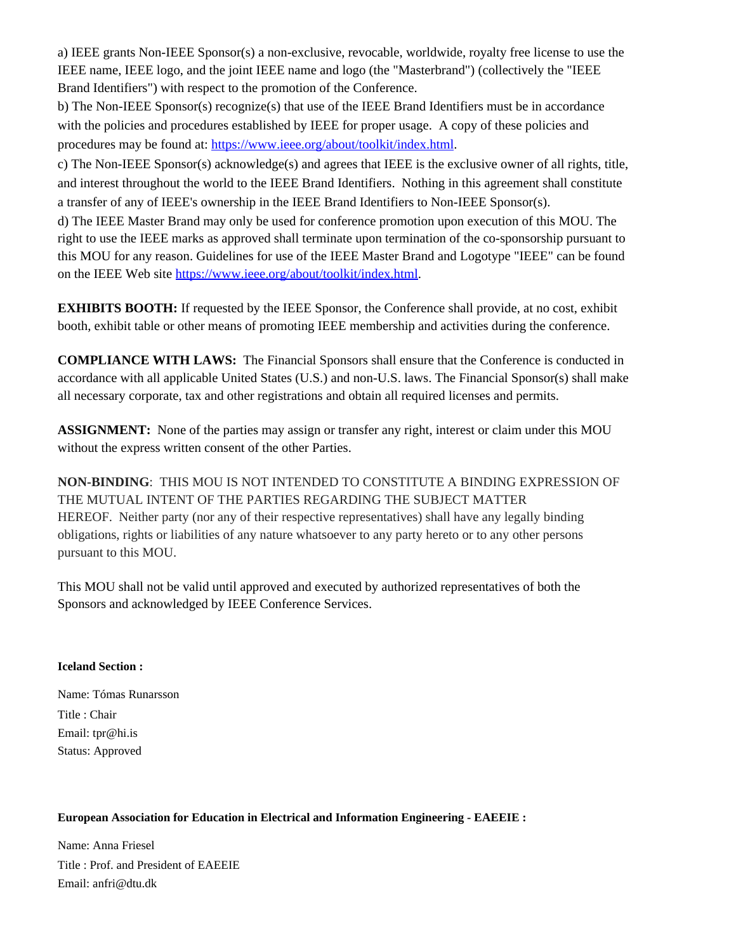a) IEEE grants Non-IEEE Sponsor(s) a non-exclusive, revocable, worldwide, royalty free license to use the IEEE name, IEEE logo, and the joint IEEE name and logo (the "Masterbrand") (collectively the "IEEE Brand Identifiers") with respect to the promotion of the Conference.

b) The Non-IEEE Sponsor(s) recognize(s) that use of the IEEE Brand Identifiers must be in accordance with the policies and procedures established by IEEE for proper usage. A copy of these policies and procedures may be found at: [https://www.ieee.org/about/toolkit/index.html.](https://www.ieee.org/about/toolkit/index.html)

c) The Non-IEEE Sponsor(s) acknowledge(s) and agrees that IEEE is the exclusive owner of all rights, title, and interest throughout the world to the IEEE Brand Identifiers. Nothing in this agreement shall constitute a transfer of any of IEEE's ownership in the IEEE Brand Identifiers to Non-IEEE Sponsor(s).

d) The IEEE Master Brand may only be used for conference promotion upon execution of this MOU. The right to use the IEEE marks as approved shall terminate upon termination of the co-sponsorship pursuant to this MOU for any reason. Guidelines for use of the IEEE Master Brand and Logotype "IEEE" can be found on the IEEE Web site [https://www.ieee.org/about/toolkit/index.html.](https://www.ieee.org/about/toolkit/index.html)

**EXHIBITS BOOTH:** If requested by the IEEE Sponsor, the Conference shall provide, at no cost, exhibit booth, exhibit table or other means of promoting IEEE membership and activities during the conference.

**COMPLIANCE WITH LAWS:** The Financial Sponsors shall ensure that the Conference is conducted in accordance with all applicable United States (U.S.) and non-U.S. laws. The Financial Sponsor(s) shall make all necessary corporate, tax and other registrations and obtain all required licenses and permits.

**ASSIGNMENT:** None of the parties may assign or transfer any right, interest or claim under this MOU without the express written consent of the other Parties.

**NON-BINDING**: THIS MOU IS NOT INTENDED TO CONSTITUTE A BINDING EXPRESSION OF THE MUTUAL INTENT OF THE PARTIES REGARDING THE SUBJECT MATTER HEREOF. Neither party (nor any of their respective representatives) shall have any legally binding obligations, rights or liabilities of any nature whatsoever to any party hereto or to any other persons pursuant to this MOU.

This MOU shall not be valid until approved and executed by authorized representatives of both the Sponsors and acknowledged by IEEE Conference Services.

## **Iceland Section :**

Name: Tómas Runarsson Title : Chair Email: tpr@hi.is Status: Approved

## **European Association for Education in Electrical and Information Engineering - EAEEIE :**

Name: Anna Friesel Title : Prof. and President of EAEEIE Email: anfri@dtu.dk